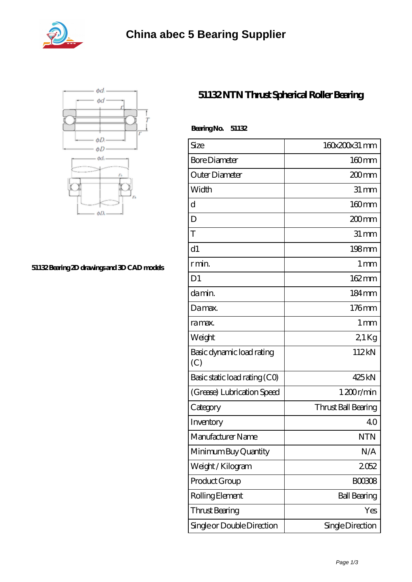



## **[51132 Bearing 2D drawings and 3D CAD models](https://abtrio.com/pic-1075471.html)**

## **[51132 NTN Thrust Spherical Roller Bearing](https://abtrio.com/cylindrical-roller-bearing/51132.html)**

| BearingNo.<br>51132              |                     |
|----------------------------------|---------------------|
| Size                             | 160x200x31 mm       |
| <b>Bore Diameter</b>             | $160$ mm            |
| Outer Diameter                   | 200 <sub>mm</sub>   |
| Width                            | $31 \,\mathrm{mm}$  |
| d                                | $160$ mm            |
| D                                | $200$ mm            |
| T                                | $31 \,\mathrm{mm}$  |
| d1                               | $198$ mm            |
| r min.                           | 1 <sub>mm</sub>     |
| D <sub>1</sub>                   | 162mm               |
| damin.                           | $184 \,\mathrm{mm}$ |
| Da max.                          | $176$ mm            |
| ra max.                          | 1 <sub>mm</sub>     |
| Weight                           | 21Kg                |
| Basic dynamic load rating<br>(C) | 112kN               |
| Basic static load rating (CO)    | 425kN               |
| (Grease) Lubrication Speed       | 1200r/min           |
| Category                         | Thrust Ball Bearing |
| Inventory                        | 40                  |
| Manufacturer Name                | <b>NTN</b>          |
| Minimum Buy Quantity             | N/A                 |
| Weight/Kilogram                  | 2052                |
| Product Group                    | BOO3O8              |
| Rolling Element                  | <b>Ball Bearing</b> |
| <b>Thrust Bearing</b>            | Yes                 |
| Single or Double Direction       | Single Direction    |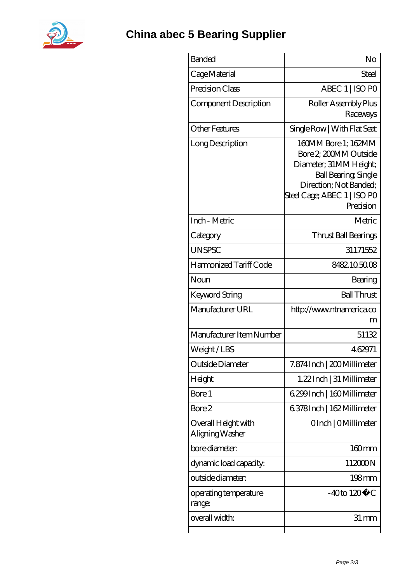

| <b>Banded</b>                          | No                                                                                                                                                                          |
|----------------------------------------|-----------------------------------------------------------------------------------------------------------------------------------------------------------------------------|
| Cage Material                          | Steel                                                                                                                                                                       |
| Precision Class                        | ABEC 1   ISO PO                                                                                                                                                             |
| Component Description                  | Roller Assembly Plus<br>Raceways                                                                                                                                            |
| <b>Other Features</b>                  | Single Row   With Flat Seat                                                                                                                                                 |
| Long Description                       | 160MM Bore 1; 162MM<br>Bore 2, 200MM Outside<br>Diameter; 31MM Height;<br><b>Ball Bearing, Single</b><br>Direction; Not Banded;<br>Steel Cage; ABEC 1   ISO PO<br>Precision |
| Inch - Metric                          | Metric                                                                                                                                                                      |
| Category                               | Thrust Ball Bearings                                                                                                                                                        |
| <b>UNSPSC</b>                          | 31171552                                                                                                                                                                    |
| Harmonized Tariff Code                 | 8482.105008                                                                                                                                                                 |
| Noun                                   | Bearing                                                                                                                                                                     |
| Keyword String                         | <b>Ball Thrust</b>                                                                                                                                                          |
| Manufacturer URL                       | http://www.ntnamerica.co<br>m                                                                                                                                               |
| Manufacturer Item Number               | 51132                                                                                                                                                                       |
| Weight/LBS                             | 462971                                                                                                                                                                      |
| Outside Diameter                       | 7.874 Inch   200 Millimeter                                                                                                                                                 |
| Height                                 | 1.22 Inch   31 Millimeter                                                                                                                                                   |
| Bore 1                                 | 6.299 Inch   160 Millimeter                                                                                                                                                 |
| Bore 2                                 | 6378Inch   162 Millimeter                                                                                                                                                   |
| Overall Height with<br>Aligning Washer | OInch   OMillimeter                                                                                                                                                         |
| bore diameter:                         | $160$ mm                                                                                                                                                                    |
| dynamic load capacity:                 | 112000N                                                                                                                                                                     |
| outside diameter:                      | $198$ mm                                                                                                                                                                    |
| operating temperature<br>range:        | $-40$ to $120^{\circ}$ C                                                                                                                                                    |
| overall width:                         | $31 \,\mathrm{mm}$                                                                                                                                                          |
|                                        |                                                                                                                                                                             |